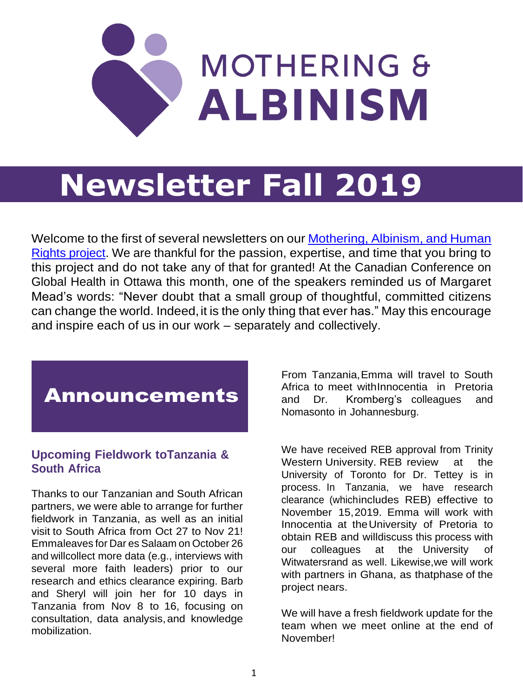

# **Newsletter Fall 2019**

Welcome to the first of several newsletters on our [Mothering,](https://motheringandalbinism.com/about/) Albinism, and Human [Rights project.](https://motheringandalbinism.com/about/) We are thankful for the passion, expertise, and time that you bring to this project and do not take any of that for granted! At the Canadian Conference on Global Health in Ottawa this month, one of the speakers reminded us of Margaret Mead's words: "Never doubt that a small group of thoughtful, committed citizens can change the world. Indeed, it is the only thing that ever has." May this encourage and inspire each of us in our work – separately and collectively.

## Announcements

#### **Upcoming Fieldwork toTanzania & South Africa**

Thanks to our Tanzanian and South African partners, we were able to arrange for further fieldwork in Tanzania, as well as an initial visit to South Africa from Oct 27 to Nov 21! Emmaleaves for Dar es Salaam on October 26 and willcollect more data (e.g., interviews with several more faith leaders) prior to our research and ethics clearance expiring. Barb and Sheryl will join her for 10 days in Tanzania from Nov 8 to 16, focusing on consultation, data analysis,and knowledge mobilization.

From Tanzania,Emma will travel to South Africa to meet withInnocentia in Pretoria and Dr. Kromberg's colleagues and Nomasonto in Johannesburg.

We have received REB approval from Trinity Western University. REB review at the University of Toronto for Dr. Tettey is in process. In Tanzania, we have research clearance (whichincludes REB) effective to November 15,2019. Emma will work with Innocentia at theUniversity of Pretoria to obtain REB and willdiscuss this process with our colleagues at the University of Witwatersrand as well. Likewise,we will work with partners in Ghana, as thatphase of the project nears.

We will have a fresh fieldwork update for the team when we meet online at the end of November!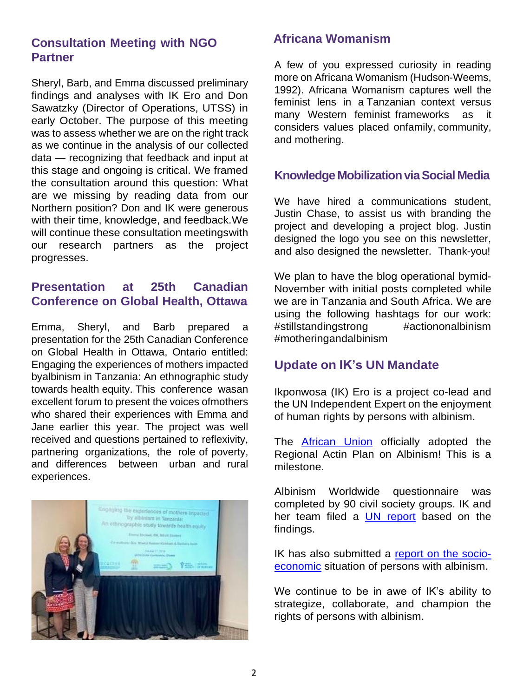#### **Consultation Meeting with NGO Partner**

Sheryl, Barb, and Emma discussed preliminary findings and analyses with IK Ero and Don Sawatzky (Director of Operations, UTSS) in early October. The purpose of this meeting was to assess whether we are on the right track as we continue in the analysis of our collected data — recognizing that feedback and input at this stage and ongoing is critical. We framed the consultation around this question: What are we missing by reading data from our Northern position? Don and IK were generous with their time, knowledge, and feedback.We will continue these consultation meetingswith our research partners as the project progresses.

### **Presentation at 25th Canadian Conference on Global Health, Ottawa**

Emma, Sheryl, and Barb prepared a presentation for the 25th Canadian Conference on Global Health in Ottawa, Ontario entitled: Engaging the experiences of mothers impacted byalbinism in Tanzania: An ethnographic study towards health equity. This conference wasan excellent forum to present the voices ofmothers who shared their experiences with Emma and Jane earlier this year. The project was well received and questions pertained to reflexivity, partnering organizations, the role of poverty, and differences between urban and rural experiences.



#### **Africana Womanism**

A few of you expressed curiosity in reading more on Africana Womanism (Hudson-Weems, 1992). Africana Womanism captures well the feminist lens in a Tanzanian context versus many Western feminist frameworks as it considers values placed onfamily, community, and mothering.

#### **Knowledge Mobilization via Social Media**

We have hired a communications student, Justin Chase, to assist us with branding the project and developing a project blog. Justin designed the logo you see on this newsletter, and also designed the newsletter. Thank-you!

We plan to have the blog operational bymid-November with initial posts completed while we are in Tanzania and South Africa. We are using the following hashtags for our work: #stillstandingstrong #actiononalbinism #motheringandalbinism

#### **Update on IK's UN Mandate**

Ikponwosa (IK) Ero is a project co-lead and the UN Independent Expert on the enjoyment of human rights by persons with albinism.

The [African Union](https://www.tralac.org/documents/resources/african-union/2959-35th-ordinary-session-of-the-executive-council-of-the-african-union-decisions-july-2019/file.html) officially adopted the Regional Actin Plan on Albinism! This is a milestone.

Albinism Worldwide questionnaire was completed by 90 civil society groups. IK and her team filed a [UN report](https://undocs.org/A/74/190) based on the findings.

IK has also submitted a [report on the socio](https://undocs.org/A/74/184)[economic](https://undocs.org/A/74/184) situation of persons with albinism.

We continue to be in awe of IK's ability to strategize, collaborate, and champion the rights of persons with albinism.